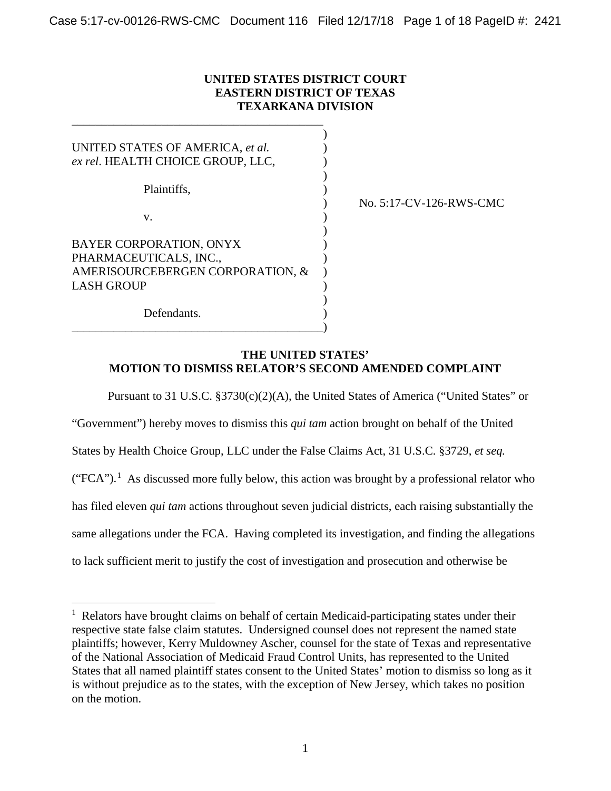## **UNITED STATES DISTRICT COURT EASTERN DISTRICT OF TEXAS TEXARKANA DIVISION**

| UNITED STATES OF AMERICA, et al.<br>ex rel. HEALTH CHOICE GROUP, LLC, |  |
|-----------------------------------------------------------------------|--|
|                                                                       |  |
| Plaintiffs.                                                           |  |
| V.                                                                    |  |
| <b>BAYER CORPORATION, ONYX</b>                                        |  |
| PHARMACEUTICALS, INC.,                                                |  |
| AMERISOURCEBERGEN CORPORATION, &                                      |  |
| <b>LASH GROUP</b>                                                     |  |
| Defendants.                                                           |  |

\_\_\_\_\_\_\_\_\_\_\_\_\_\_\_\_\_\_\_\_\_\_\_\_\_\_\_\_\_\_\_\_\_\_\_\_\_\_\_\_\_\_)

\_\_\_\_\_\_\_\_\_\_\_\_\_\_\_\_\_\_\_\_\_\_\_\_\_\_\_\_\_\_\_\_\_\_\_\_\_\_\_\_\_\_

) No. 5:17-CV-126-RWS-CMC

### **THE UNITED STATES' MOTION TO DISMISS RELATOR'S SECOND AMENDED COMPLAINT**

Pursuant to 31 U.S.C. §3730(c)(2)(A), the United States of America ("United States" or

"Government") hereby moves to dismiss this *qui tam* action brought on behalf of the United

States by Health Choice Group, LLC under the False Claims Act, 31 U.S.C. §3729, *et seq.*

 $("FCA").$ <sup>1</sup> As discussed more fully below, this action was brought by a professional relator who

has filed eleven *qui tam* actions throughout seven judicial districts, each raising substantially the

same allegations under the FCA. Having completed its investigation, and finding the allegations

to lack sufficient merit to justify the cost of investigation and prosecution and otherwise be

 $\frac{1}{1}$  $<sup>1</sup>$  Relators have brought claims on behalf of certain Medicaid-participating states under their</sup> respective state false claim statutes. Undersigned counsel does not represent the named state plaintiffs; however, Kerry Muldowney Ascher, counsel for the state of Texas and representative of the National Association of Medicaid Fraud Control Units, has represented to the United States that all named plaintiff states consent to the United States' motion to dismiss so long as it is without prejudice as to the states, with the exception of New Jersey, which takes no position on the motion.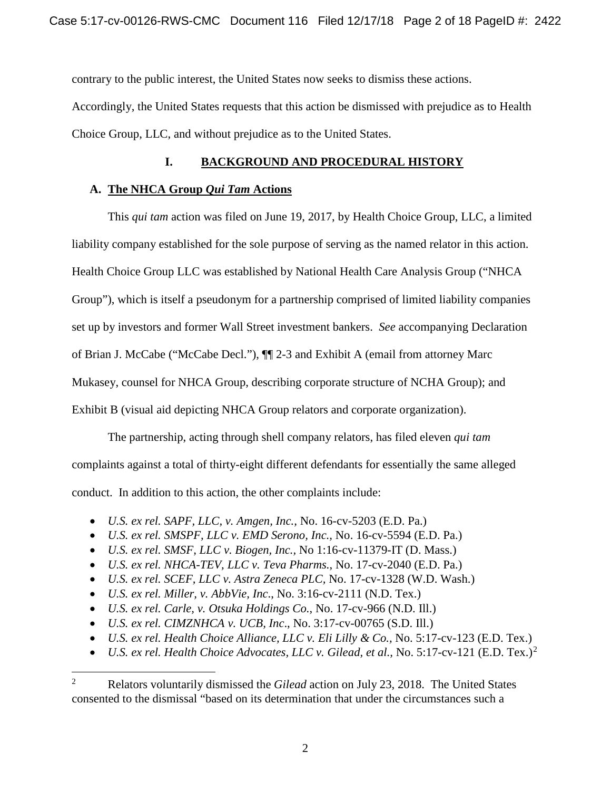contrary to the public interest, the United States now seeks to dismiss these actions.

Accordingly, the United States requests that this action be dismissed with prejudice as to Health Choice Group, LLC, and without prejudice as to the United States.

# **I. BACKGROUND AND PROCEDURAL HISTORY**

# **A. The NHCA Group** *Qui Tam* **Actions**

This *qui tam* action was filed on June 19, 2017, by Health Choice Group, LLC, a limited liability company established for the sole purpose of serving as the named relator in this action. Health Choice Group LLC was established by National Health Care Analysis Group ("NHCA Group"), which is itself a pseudonym for a partnership comprised of limited liability companies set up by investors and former Wall Street investment bankers. *See* accompanying Declaration of Brian J. McCabe ("McCabe Decl."), ¶¶ 2-3 and Exhibit A (email from attorney Marc Mukasey, counsel for NHCA Group, describing corporate structure of NCHA Group); and Exhibit B (visual aid depicting NHCA Group relators and corporate organization).

The partnership, acting through shell company relators, has filed eleven *qui tam* complaints against a total of thirty-eight different defendants for essentially the same alleged conduct. In addition to this action, the other complaints include:

- *U.S. ex rel. SAPF, LLC, v. Amgen, Inc.,* No. 16-cv-5203 (E.D. Pa.)
- *U.S. ex rel. SMSPF, LLC v. EMD Serono, Inc.,* No. 16-cv-5594 (E.D. Pa.)
- *U.S. ex rel. SMSF, LLC v. Biogen, Inc.,* No 1:16-cv-11379-IT (D. Mass.)
- *U.S. ex rel. NHCA-TEV, LLC v. Teva Pharms.*, No. 17-cv-2040 (E.D. Pa.)
- *U.S. ex rel. SCEF, LLC v. Astra Zeneca PLC,* No. 17-cv-1328 (W.D. Wash.)
- *U.S. ex rel. Miller, v. AbbVie, Inc*., No. 3:16-cv-2111 (N.D. Tex.)
- *U.S. ex rel. Carle, v. Otsuka Holdings Co.*, No. 17-cv-966 (N.D. Ill.)
- *U.S. ex rel. CIMZNHCA v. UCB, Inc*., No. 3:17-cv-00765 (S.D. Ill.)
- *U.S. ex rel. Health Choice Alliance, LLC v. Eli Lilly & Co.,* No. 5:17-cv-123 (E.D. Tex.)
- *U.S. ex rel. Health Choice Advocates, LLC v. Gilead, et al.,* No. 5:17-cv-121 (E.D. Tex.)<sup>2</sup>

 <sup>2</sup> Relators voluntarily dismissed the *Gilead* action on July 23, 2018. The United States consented to the dismissal "based on its determination that under the circumstances such a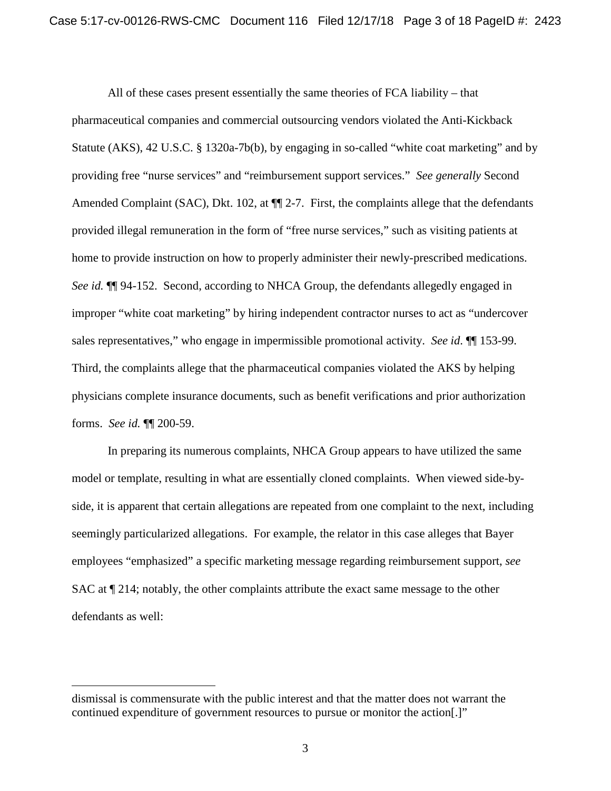All of these cases present essentially the same theories of FCA liability – that pharmaceutical companies and commercial outsourcing vendors violated the Anti-Kickback Statute (AKS), 42 U.S.C. § 1320a-7b(b), by engaging in so-called "white coat marketing" and by providing free "nurse services" and "reimbursement support services." *See generally* Second Amended Complaint (SAC), Dkt. 102, at  $\P$  2-7. First, the complaints allege that the defendants provided illegal remuneration in the form of "free nurse services," such as visiting patients at home to provide instruction on how to properly administer their newly-prescribed medications. *See id.*  $\P$  94-152. Second, according to NHCA Group, the defendants allegedly engaged in improper "white coat marketing" by hiring independent contractor nurses to act as "undercover sales representatives," who engage in impermissible promotional activity. *See id*. ¶¶ 153-99. Third, the complaints allege that the pharmaceutical companies violated the AKS by helping physicians complete insurance documents, such as benefit verifications and prior authorization forms. *See id.* ¶¶ 200-59.

In preparing its numerous complaints, NHCA Group appears to have utilized the same model or template, resulting in what are essentially cloned complaints. When viewed side-byside, it is apparent that certain allegations are repeated from one complaint to the next, including seemingly particularized allegations. For example, the relator in this case alleges that Bayer employees "emphasized" a specific marketing message regarding reimbursement support, *see*  SAC at ¶ 214; notably, the other complaints attribute the exact same message to the other defendants as well:

 $\overline{a}$ 

dismissal is commensurate with the public interest and that the matter does not warrant the continued expenditure of government resources to pursue or monitor the action[.]"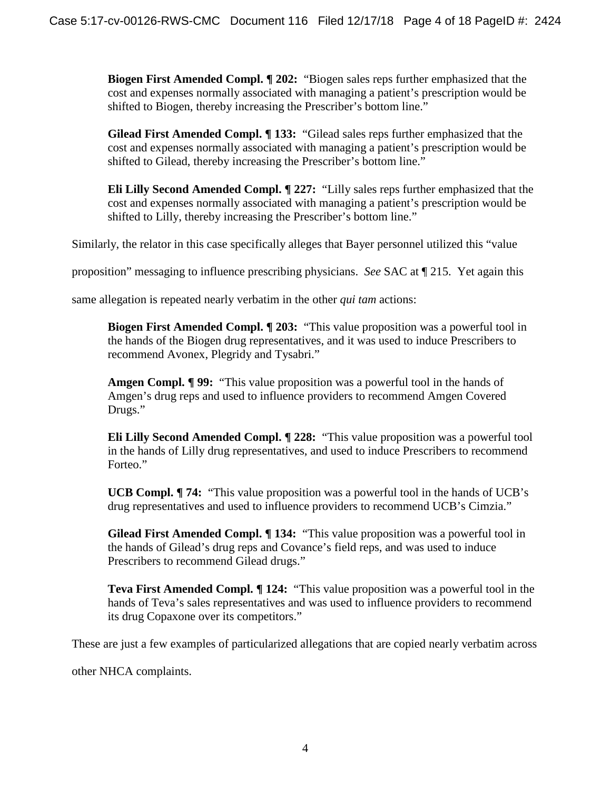**Biogen First Amended Compl. ¶ 202:** "Biogen sales reps further emphasized that the cost and expenses normally associated with managing a patient's prescription would be shifted to Biogen, thereby increasing the Prescriber's bottom line."

**Gilead First Amended Compl. ¶ 133:** "Gilead sales reps further emphasized that the cost and expenses normally associated with managing a patient's prescription would be shifted to Gilead, thereby increasing the Prescriber's bottom line."

**Eli Lilly Second Amended Compl. ¶ 227:** "Lilly sales reps further emphasized that the cost and expenses normally associated with managing a patient's prescription would be shifted to Lilly, thereby increasing the Prescriber's bottom line."

Similarly, the relator in this case specifically alleges that Bayer personnel utilized this "value

proposition" messaging to influence prescribing physicians. *See* SAC at ¶ 215. Yet again this

same allegation is repeated nearly verbatim in the other *qui tam* actions:

**Biogen First Amended Compl. ¶ 203:** "This value proposition was a powerful tool in the hands of the Biogen drug representatives, and it was used to induce Prescribers to recommend Avonex, Plegridy and Tysabri."

**Amgen Compl. ¶ 99:** "This value proposition was a powerful tool in the hands of Amgen's drug reps and used to influence providers to recommend Amgen Covered Drugs."

**Eli Lilly Second Amended Compl. ¶ 228:** "This value proposition was a powerful tool in the hands of Lilly drug representatives, and used to induce Prescribers to recommend Forteo."

**UCB Compl. ¶ 74:** "This value proposition was a powerful tool in the hands of UCB's drug representatives and used to influence providers to recommend UCB's Cimzia."

**Gilead First Amended Compl. ¶ 134:** "This value proposition was a powerful tool in the hands of Gilead's drug reps and Covance's field reps, and was used to induce Prescribers to recommend Gilead drugs."

**Teva First Amended Compl. ¶ 124:** "This value proposition was a powerful tool in the hands of Teva's sales representatives and was used to influence providers to recommend its drug Copaxone over its competitors."

These are just a few examples of particularized allegations that are copied nearly verbatim across

other NHCA complaints.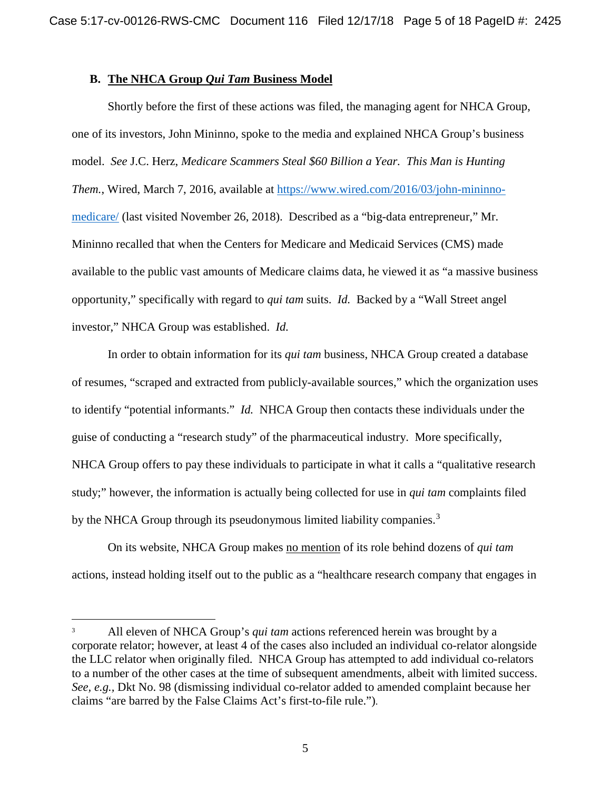## **B. The NHCA Group** *Qui Tam* **Business Model**

Shortly before the first of these actions was filed, the managing agent for NHCA Group, one of its investors, John Mininno, spoke to the media and explained NHCA Group's business model. *See* J.C. Herz, *Medicare Scammers Steal \$60 Billion a Year. This Man is Hunting Them.*, Wired, March 7, 2016, available at https://www.wired.com/2016/03/john-mininnomedicare/ (last visited November 26, 2018). Described as a "big-data entrepreneur," Mr. Mininno recalled that when the Centers for Medicare and Medicaid Services (CMS) made available to the public vast amounts of Medicare claims data, he viewed it as "a massive business opportunity," specifically with regard to *qui tam* suits. *Id.* Backed by a "Wall Street angel investor," NHCA Group was established. *Id.* 

In order to obtain information for its *qui tam* business, NHCA Group created a database of resumes, "scraped and extracted from publicly-available sources," which the organization uses to identify "potential informants." *Id.* NHCA Group then contacts these individuals under the guise of conducting a "research study" of the pharmaceutical industry. More specifically, NHCA Group offers to pay these individuals to participate in what it calls a "qualitative research study;" however, the information is actually being collected for use in *qui tam* complaints filed by the NHCA Group through its pseudonymous limited liability companies.<sup>3</sup>

On its website, NHCA Group makes no mention of its role behind dozens of *qui tam* actions*,* instead holding itself out to the public as a "healthcare research company that engages in

<sup>&</sup>lt;sup>3</sup> All eleven of NHCA Group's *qui tam* actions referenced herein was brought by a corporate relator; however, at least 4 of the cases also included an individual co-relator alongside the LLC relator when originally filed. NHCA Group has attempted to add individual co-relators to a number of the other cases at the time of subsequent amendments, albeit with limited success. *See, e.g.,* Dkt No. 98 (dismissing individual co-relator added to amended complaint because her claims "are barred by the False Claims Act's first-to-file rule.").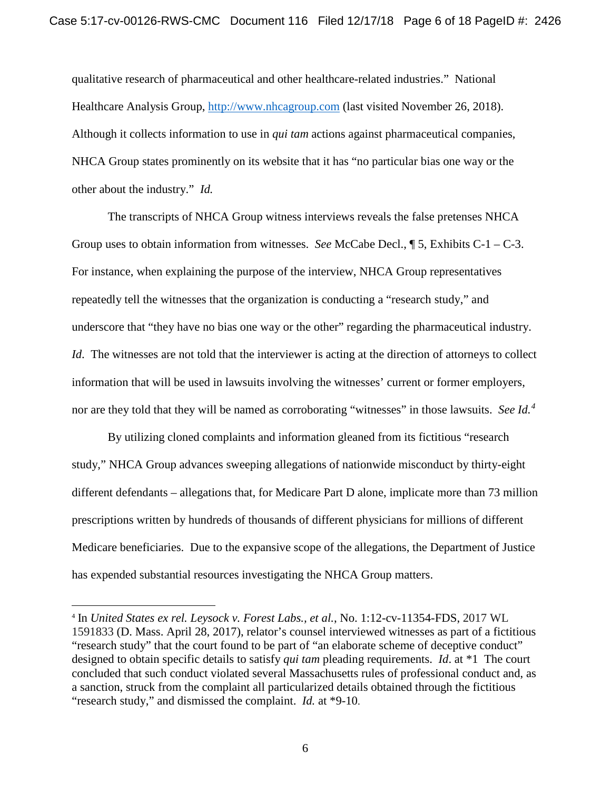qualitative research of pharmaceutical and other healthcare-related industries." National Healthcare Analysis Group, http://www.nhcagroup.com (last visited November 26, 2018). Although it collects information to use in *qui tam* actions against pharmaceutical companies, NHCA Group states prominently on its website that it has "no particular bias one way or the other about the industry." *Id.*

The transcripts of NHCA Group witness interviews reveals the false pretenses NHCA Group uses to obtain information from witnesses. *See* McCabe Decl., ¶ 5, Exhibits C-1 – C-3. For instance, when explaining the purpose of the interview, NHCA Group representatives repeatedly tell the witnesses that the organization is conducting a "research study," and underscore that "they have no bias one way or the other" regarding the pharmaceutical industry. *Id*. The witnesses are not told that the interviewer is acting at the direction of attorneys to collect information that will be used in lawsuits involving the witnesses' current or former employers, nor are they told that they will be named as corroborating "witnesses" in those lawsuits. *See Id.<sup>4</sup>*

By utilizing cloned complaints and information gleaned from its fictitious "research study," NHCA Group advances sweeping allegations of nationwide misconduct by thirty-eight different defendants – allegations that, for Medicare Part D alone, implicate more than 73 million prescriptions written by hundreds of thousands of different physicians for millions of different Medicare beneficiaries. Due to the expansive scope of the allegations, the Department of Justice has expended substantial resources investigating the NHCA Group matters.

 <sup>4</sup> In *United States ex rel. Leysock v. Forest Labs., et al.*, No. 1:12-cv-11354-FDS, 2017 WL 1591833 (D. Mass. April 28, 2017), relator's counsel interviewed witnesses as part of a fictitious "research study" that the court found to be part of "an elaborate scheme of deceptive conduct" designed to obtain specific details to satisfy *qui tam* pleading requirements. *Id*. at \*1 The court concluded that such conduct violated several Massachusetts rules of professional conduct and, as a sanction, struck from the complaint all particularized details obtained through the fictitious "research study," and dismissed the complaint. *Id.* at \*9-10.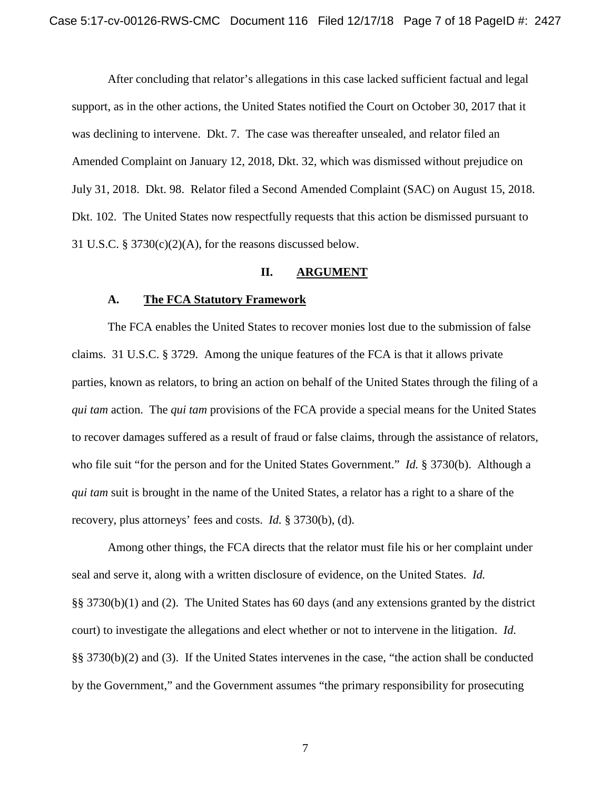After concluding that relator's allegations in this case lacked sufficient factual and legal support, as in the other actions, the United States notified the Court on October 30, 2017 that it was declining to intervene. Dkt. 7. The case was thereafter unsealed, and relator filed an Amended Complaint on January 12, 2018, Dkt. 32, which was dismissed without prejudice on July 31, 2018. Dkt. 98. Relator filed a Second Amended Complaint (SAC) on August 15, 2018. Dkt. 102. The United States now respectfully requests that this action be dismissed pursuant to 31 U.S.C. § 3730(c)(2)(A), for the reasons discussed below.

### **II. ARGUMENT**

#### **A. The FCA Statutory Framework**

The FCA enables the United States to recover monies lost due to the submission of false claims. 31 U.S.C. § 3729. Among the unique features of the FCA is that it allows private parties, known as relators, to bring an action on behalf of the United States through the filing of a *qui tam* action. The *qui tam* provisions of the FCA provide a special means for the United States to recover damages suffered as a result of fraud or false claims, through the assistance of relators, who file suit "for the person and for the United States Government." *Id.* § 3730(b). Although a *qui tam* suit is brought in the name of the United States, a relator has a right to a share of the recovery, plus attorneys' fees and costs. *Id.* § 3730(b), (d).

Among other things, the FCA directs that the relator must file his or her complaint under seal and serve it, along with a written disclosure of evidence, on the United States. *Id.* §§ 3730(b)(1) and (2). The United States has 60 days (and any extensions granted by the district court) to investigate the allegations and elect whether or not to intervene in the litigation. *Id.* §§ 3730(b)(2) and (3). If the United States intervenes in the case, "the action shall be conducted by the Government," and the Government assumes "the primary responsibility for prosecuting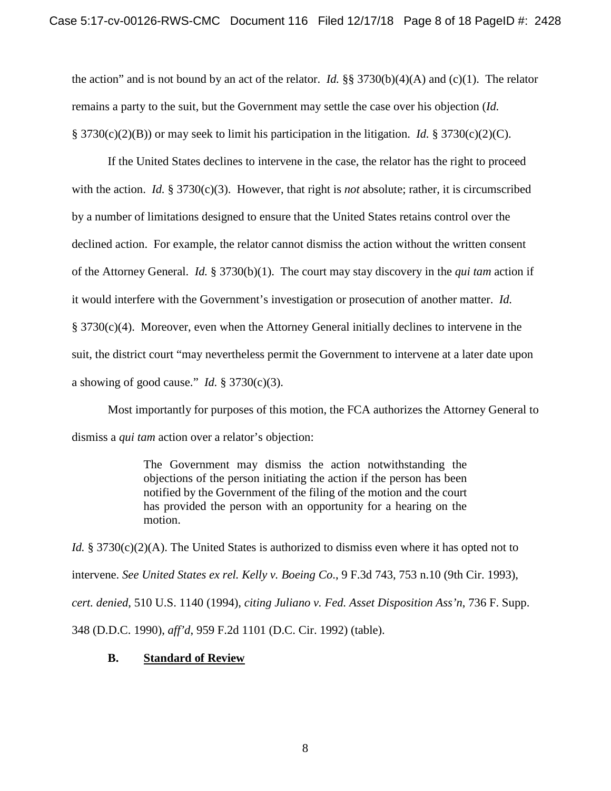the action" and is not bound by an act of the relator. *Id.* §§ 3730(b)(4)(A) and (c)(1). The relator remains a party to the suit, but the Government may settle the case over his objection (*Id.* § 3730(c)(2)(B)) or may seek to limit his participation in the litigation. *Id.* § 3730(c)(2)(C).

If the United States declines to intervene in the case, the relator has the right to proceed with the action. *Id.* § 3730 $(c)(3)$ . However, that right is *not* absolute; rather, it is circumscribed by a number of limitations designed to ensure that the United States retains control over the declined action. For example, the relator cannot dismiss the action without the written consent of the Attorney General. *Id.* § 3730(b)(1). The court may stay discovery in the *qui tam* action if it would interfere with the Government's investigation or prosecution of another matter. *Id.* § 3730(c)(4). Moreover, even when the Attorney General initially declines to intervene in the suit, the district court "may nevertheless permit the Government to intervene at a later date upon a showing of good cause." *Id.*  $\S 3730(c)(3)$ .

Most importantly for purposes of this motion, the FCA authorizes the Attorney General to dismiss a *qui tam* action over a relator's objection:

> The Government may dismiss the action notwithstanding the objections of the person initiating the action if the person has been notified by the Government of the filing of the motion and the court has provided the person with an opportunity for a hearing on the motion.

*Id.* § 3730(c)(2)(A). The United States is authorized to dismiss even where it has opted not to intervene. *See United States ex rel. Kelly v. Boeing Co*., 9 F.3d 743, 753 n.10 (9th Cir. 1993), *cert. denied*, 510 U.S. 1140 (1994), *citing Juliano v. Fed. Asset Disposition Ass'n*, 736 F. Supp. 348 (D.D.C. 1990), *aff'd*, 959 F.2d 1101 (D.C. Cir. 1992) (table).

## **B. Standard of Review**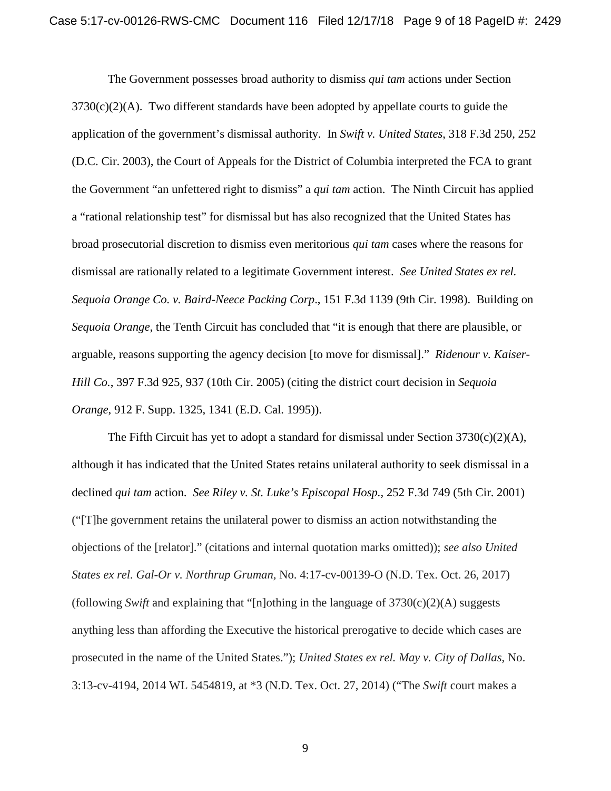The Government possesses broad authority to dismiss *qui tam* actions under Section  $3730(c)(2)(A)$ . Two different standards have been adopted by appellate courts to guide the application of the government's dismissal authority. In *Swift v. United States*, 318 F.3d 250, 252 (D.C. Cir. 2003), the Court of Appeals for the District of Columbia interpreted the FCA to grant the Government "an unfettered right to dismiss" a *qui tam* action. The Ninth Circuit has applied a "rational relationship test" for dismissal but has also recognized that the United States has broad prosecutorial discretion to dismiss even meritorious *qui tam* cases where the reasons for dismissal are rationally related to a legitimate Government interest. *See United States ex rel. Sequoia Orange Co. v. Baird-Neece Packing Corp*., 151 F.3d 1139 (9th Cir. 1998). Building on *Sequoia Orange*, the Tenth Circuit has concluded that "it is enough that there are plausible, or arguable, reasons supporting the agency decision [to move for dismissal]." *Ridenour v. Kaiser-Hill Co.*, 397 F.3d 925, 937 (10th Cir. 2005) (citing the district court decision in *Sequoia Orange*, 912 F. Supp. 1325, 1341 (E.D. Cal. 1995)).

The Fifth Circuit has yet to adopt a standard for dismissal under Section  $3730(c)(2)(A)$ , although it has indicated that the United States retains unilateral authority to seek dismissal in a declined *qui tam* action. *See Riley v. St. Luke's Episcopal Hosp.,* 252 F.3d 749 (5th Cir. 2001) ("[T]he government retains the unilateral power to dismiss an action notwithstanding the objections of the [relator]." (citations and internal quotation marks omitted)); *see also United States ex rel. Gal-Or v. Northrup Gruman,* No. 4:17-cv-00139-O (N.D. Tex. Oct. 26, 2017) (following *Swift* and explaining that "[n]othing in the language of  $3730(c)(2)(A)$  suggests anything less than affording the Executive the historical prerogative to decide which cases are prosecuted in the name of the United States."); *United States ex rel. May v. City of Dallas*, No. 3:13-cv-4194, 2014 WL 5454819, at \*3 (N.D. Tex. Oct. 27, 2014) ("The *Swift* court makes a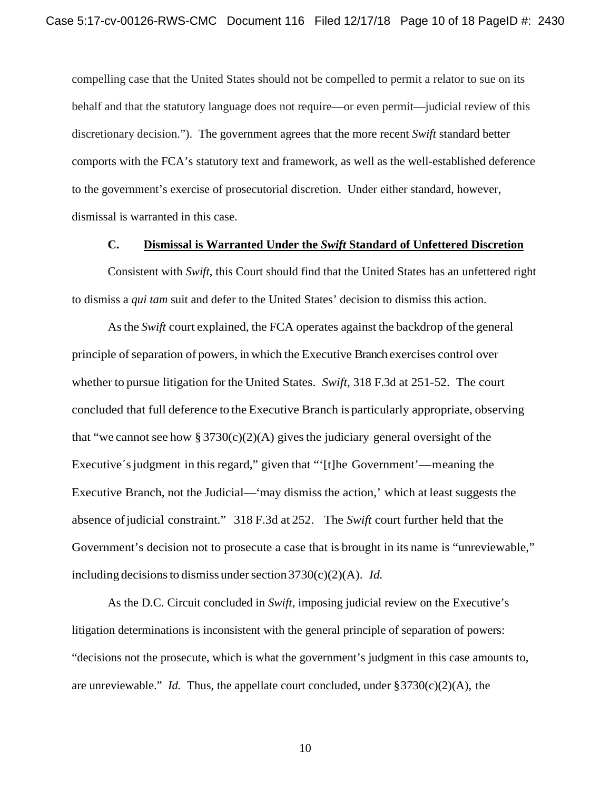compelling case that the United States should not be compelled to permit a relator to sue on its behalf and that the statutory language does not require—or even permit—judicial review of this discretionary decision."). The government agrees that the more recent *Swift* standard better comports with the FCA's statutory text and framework, as well as the well-established deference to the government's exercise of prosecutorial discretion. Under either standard, however, dismissal is warranted in this case.

#### **C. Dismissal is Warranted Under the** *Swift* **Standard of Unfettered Discretion**

Consistent with *Swift*, this Court should find that the United States has an unfettered right to dismiss a *qui tam* suit and defer to the United States' decision to dismiss this action.

As the *Swift* court explained, the FCA operates against the backdrop of the general principle of separation of powers, in which the Executive Branch exercises control over whether to pursue litigation for the United States. *Swift,* 318 F.3d at 251-52. The court concluded that full deference to the Executive Branch is particularly appropriate, observing that "we cannot see how § 3730(c)(2)(A) gives the judiciary general oversight of the Executive's judgment in this regard," given that "'[t]he Government'—meaning the Executive Branch, not the Judicial—'may dismiss the action,' which at least suggests the absence ofjudicial constraint." 318 F.3d at 252. The *Swift* court further held that the Government's decision not to prosecute a case that is brought in its name is "unreviewable," including decisions to dismiss under section  $3730(c)(2)(A)$ . *Id.* 

As the D.C. Circuit concluded in *Swift*, imposing judicial review on the Executive's litigation determinations is inconsistent with the general principle of separation of powers: "decisions not the prosecute, which is what the government's judgment in this case amounts to, are unreviewable." *Id.* Thus, the appellate court concluded, under §3730(c)(2)(A), the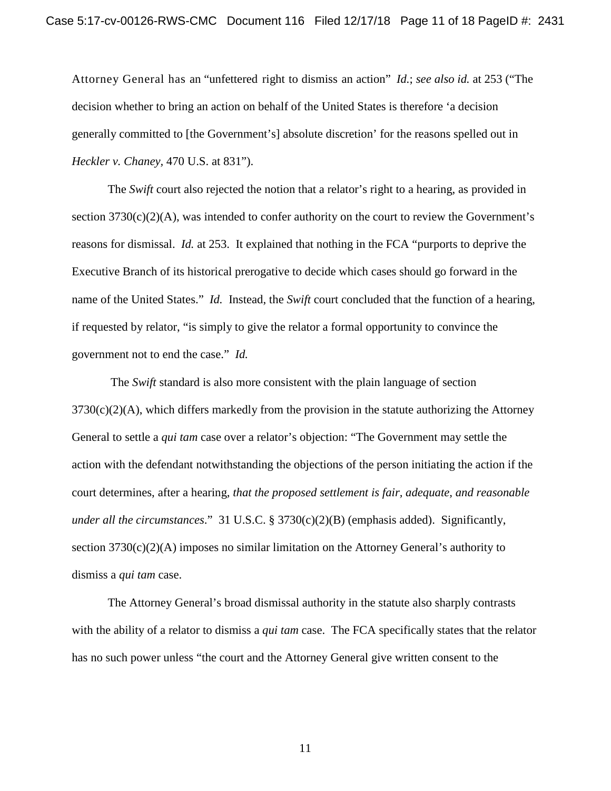Attorney General has an "unfettered right to dismiss an action" *Id.*; *see also id.* at 253 ("The decision whether to bring an action on behalf of the United States is therefore 'a decision generally committed to [the Government's] absolute discretion' for the reasons spelled out in *Heckler v. Chaney,* 470 U.S. at 831").

The *Swift* court also rejected the notion that a relator's right to a hearing, as provided in section  $3730(c)(2)(A)$ , was intended to confer authority on the court to review the Government's reasons for dismissal. *Id.* at 253. It explained that nothing in the FCA "purports to deprive the Executive Branch of its historical prerogative to decide which cases should go forward in the name of the United States." *Id.* Instead, the *Swift* court concluded that the function of a hearing, if requested by relator, "is simply to give the relator a formal opportunity to convince the government not to end the case." *Id.*

The *Swift* standard is also more consistent with the plain language of section  $3730(c)(2)(A)$ , which differs markedly from the provision in the statute authorizing the Attorney General to settle a *qui tam* case over a relator's objection: "The Government may settle the action with the defendant notwithstanding the objections of the person initiating the action if the court determines, after a hearing, *that the proposed settlement is fair, adequate, and reasonable under all the circumstances*." 31 U.S.C. § 3730(c)(2)(B) (emphasis added). Significantly, section 3730(c)(2)(A) imposes no similar limitation on the Attorney General's authority to dismiss a *qui tam* case.

The Attorney General's broad dismissal authority in the statute also sharply contrasts with the ability of a relator to dismiss a *qui tam* case. The FCA specifically states that the relator has no such power unless "the court and the Attorney General give written consent to the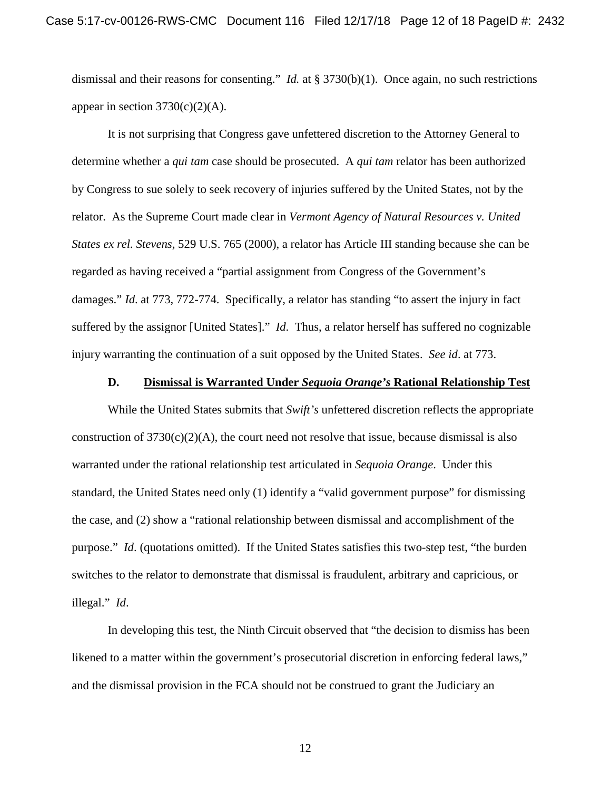dismissal and their reasons for consenting." *Id.* at § 3730(b)(1). Once again, no such restrictions appear in section  $3730(c)(2)(A)$ .

It is not surprising that Congress gave unfettered discretion to the Attorney General to determine whether a *qui tam* case should be prosecuted. A *qui tam* relator has been authorized by Congress to sue solely to seek recovery of injuries suffered by the United States, not by the relator. As the Supreme Court made clear in *Vermont Agency of Natural Resources v. United States ex rel. Stevens*, 529 U.S. 765 (2000), a relator has Article III standing because she can be regarded as having received a "partial assignment from Congress of the Government's damages." *Id*. at 773, 772-774. Specifically, a relator has standing "to assert the injury in fact suffered by the assignor [United States]." *Id*. Thus, a relator herself has suffered no cognizable injury warranting the continuation of a suit opposed by the United States. *See id*. at 773.

#### **D. Dismissal is Warranted Under** *Sequoia Orange's* **Rational Relationship Test**

While the United States submits that *Swift's* unfettered discretion reflects the appropriate construction of  $3730(c)(2)(A)$ , the court need not resolve that issue, because dismissal is also warranted under the rational relationship test articulated in *Sequoia Orange*. Under this standard, the United States need only (1) identify a "valid government purpose" for dismissing the case, and (2) show a "rational relationship between dismissal and accomplishment of the purpose." *Id*. (quotations omitted). If the United States satisfies this two-step test, "the burden switches to the relator to demonstrate that dismissal is fraudulent, arbitrary and capricious, or illegal." *Id*.

In developing this test, the Ninth Circuit observed that "the decision to dismiss has been likened to a matter within the government's prosecutorial discretion in enforcing federal laws," and the dismissal provision in the FCA should not be construed to grant the Judiciary an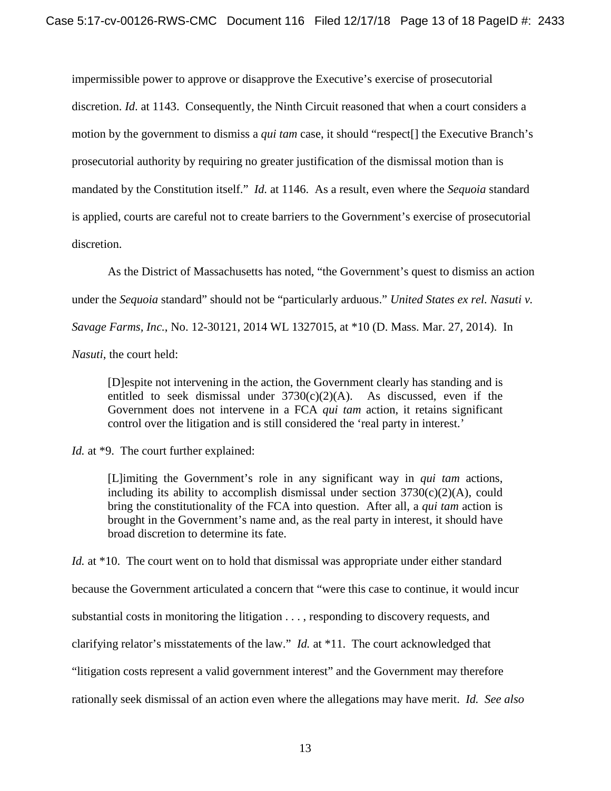impermissible power to approve or disapprove the Executive's exercise of prosecutorial discretion. *Id*. at 1143. Consequently, the Ninth Circuit reasoned that when a court considers a motion by the government to dismiss a *qui tam* case, it should "respect[] the Executive Branch's prosecutorial authority by requiring no greater justification of the dismissal motion than is mandated by the Constitution itself." *Id.* at 1146. As a result, even where the *Sequoia* standard is applied, courts are careful not to create barriers to the Government's exercise of prosecutorial discretion.

As the District of Massachusetts has noted, "the Government's quest to dismiss an action under the *Sequoia* standard" should not be "particularly arduous." *United States ex rel. Nasuti v. Savage Farms, Inc.*, No. 12-30121, 2014 WL 1327015, at \*10 (D. Mass. Mar. 27, 2014). In *Nasuti*, the court held:

[D]espite not intervening in the action, the Government clearly has standing and is entitled to seek dismissal under  $3730(c)(2)(A)$ . As discussed, even if the Government does not intervene in a FCA *qui tam* action, it retains significant control over the litigation and is still considered the 'real party in interest.'

*Id.* at \*9. The court further explained:

[L]imiting the Government's role in any significant way in *qui tam* actions, including its ability to accomplish dismissal under section  $3730(c)(2)(A)$ , could bring the constitutionality of the FCA into question. After all, a *qui tam* action is brought in the Government's name and, as the real party in interest, it should have broad discretion to determine its fate.

*Id.* at \*10. The court went on to hold that dismissal was appropriate under either standard because the Government articulated a concern that "were this case to continue, it would incur substantial costs in monitoring the litigation . . . , responding to discovery requests, and clarifying relator's misstatements of the law." *Id.* at \*11. The court acknowledged that "litigation costs represent a valid government interest" and the Government may therefore rationally seek dismissal of an action even where the allegations may have merit. *Id. See also*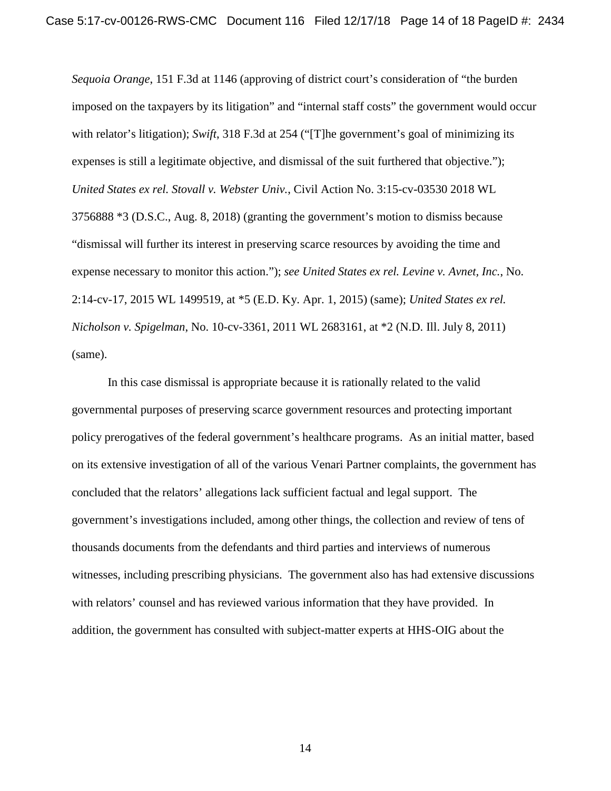*Sequoia Orange*, 151 F.3d at 1146 (approving of district court's consideration of "the burden imposed on the taxpayers by its litigation" and "internal staff costs" the government would occur with relator's litigation); *Swift*, 318 F.3d at 254 ("The government's goal of minimizing its expenses is still a legitimate objective, and dismissal of the suit furthered that objective."); *United States ex rel. Stovall v. Webster Univ.*, Civil Action No. 3:15-cv-03530 2018 WL 3756888 \*3 (D.S.C., Aug. 8, 2018) (granting the government's motion to dismiss because "dismissal will further its interest in preserving scarce resources by avoiding the time and expense necessary to monitor this action."); *see United States ex rel. Levine v. Avnet, Inc.*, No. 2:14-cv-17, 2015 WL 1499519, at \*5 (E.D. Ky. Apr. 1, 2015) (same); *United States ex rel. Nicholson v. Spigelman*, No. 10-cv-3361, 2011 WL 2683161, at \*2 (N.D. Ill. July 8, 2011) (same).

In this case dismissal is appropriate because it is rationally related to the valid governmental purposes of preserving scarce government resources and protecting important policy prerogatives of the federal government's healthcare programs. As an initial matter, based on its extensive investigation of all of the various Venari Partner complaints, the government has concluded that the relators' allegations lack sufficient factual and legal support. The government's investigations included, among other things, the collection and review of tens of thousands documents from the defendants and third parties and interviews of numerous witnesses, including prescribing physicians. The government also has had extensive discussions with relators' counsel and has reviewed various information that they have provided. In addition, the government has consulted with subject-matter experts at HHS-OIG about the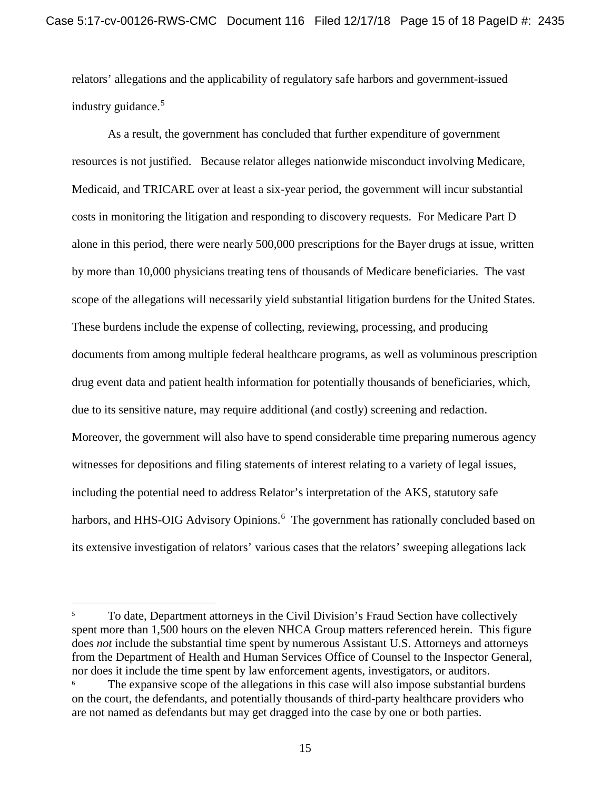relators' allegations and the applicability of regulatory safe harbors and government-issued industry guidance. 5

As a result, the government has concluded that further expenditure of government resources is not justified. Because relator alleges nationwide misconduct involving Medicare, Medicaid, and TRICARE over at least a six-year period, the government will incur substantial costs in monitoring the litigation and responding to discovery requests. For Medicare Part D alone in this period, there were nearly 500,000 prescriptions for the Bayer drugs at issue, written by more than 10,000 physicians treating tens of thousands of Medicare beneficiaries. The vast scope of the allegations will necessarily yield substantial litigation burdens for the United States. These burdens include the expense of collecting, reviewing, processing, and producing documents from among multiple federal healthcare programs, as well as voluminous prescription drug event data and patient health information for potentially thousands of beneficiaries, which, due to its sensitive nature, may require additional (and costly) screening and redaction. Moreover, the government will also have to spend considerable time preparing numerous agency witnesses for depositions and filing statements of interest relating to a variety of legal issues, including the potential need to address Relator's interpretation of the AKS, statutory safe harbors, and HHS-OIG Advisory Opinions.<sup>6</sup> The government has rationally concluded based on its extensive investigation of relators' various cases that the relators' sweeping allegations lack

<sup>&</sup>lt;sup>5</sup> To date, Department attorneys in the Civil Division's Fraud Section have collectively spent more than 1,500 hours on the eleven NHCA Group matters referenced herein. This figure does *not* include the substantial time spent by numerous Assistant U.S. Attorneys and attorneys from the Department of Health and Human Services Office of Counsel to the Inspector General, nor does it include the time spent by law enforcement agents, investigators, or auditors.

The expansive scope of the allegations in this case will also impose substantial burdens on the court, the defendants, and potentially thousands of third-party healthcare providers who are not named as defendants but may get dragged into the case by one or both parties.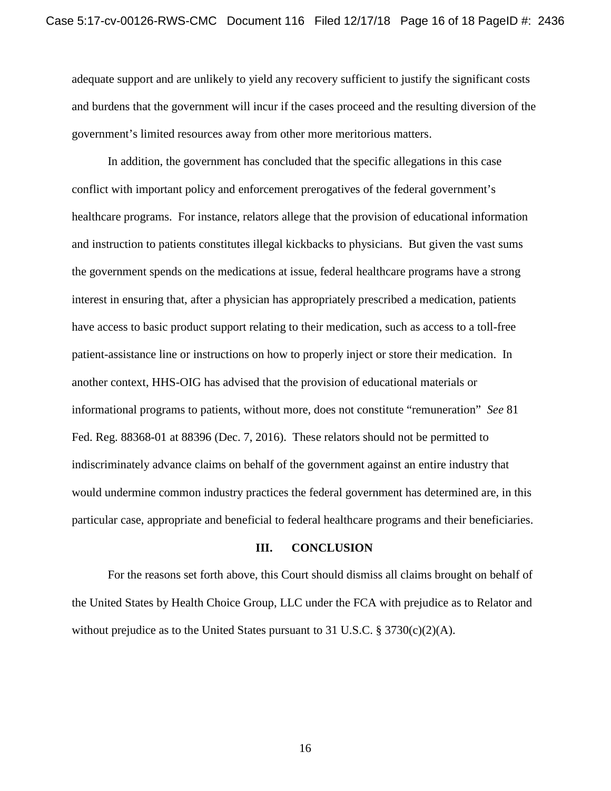adequate support and are unlikely to yield any recovery sufficient to justify the significant costs and burdens that the government will incur if the cases proceed and the resulting diversion of the government's limited resources away from other more meritorious matters.

In addition, the government has concluded that the specific allegations in this case conflict with important policy and enforcement prerogatives of the federal government's healthcare programs. For instance, relators allege that the provision of educational information and instruction to patients constitutes illegal kickbacks to physicians. But given the vast sums the government spends on the medications at issue, federal healthcare programs have a strong interest in ensuring that, after a physician has appropriately prescribed a medication, patients have access to basic product support relating to their medication, such as access to a toll-free patient-assistance line or instructions on how to properly inject or store their medication. In another context, HHS-OIG has advised that the provision of educational materials or informational programs to patients, without more, does not constitute "remuneration" *See* 81 Fed. Reg. 88368-01 at 88396 (Dec. 7, 2016). These relators should not be permitted to indiscriminately advance claims on behalf of the government against an entire industry that would undermine common industry practices the federal government has determined are, in this particular case, appropriate and beneficial to federal healthcare programs and their beneficiaries.

#### **III. CONCLUSION**

For the reasons set forth above, this Court should dismiss all claims brought on behalf of the United States by Health Choice Group, LLC under the FCA with prejudice as to Relator and without prejudice as to the United States pursuant to 31 U.S.C. § 3730(c)(2)(A).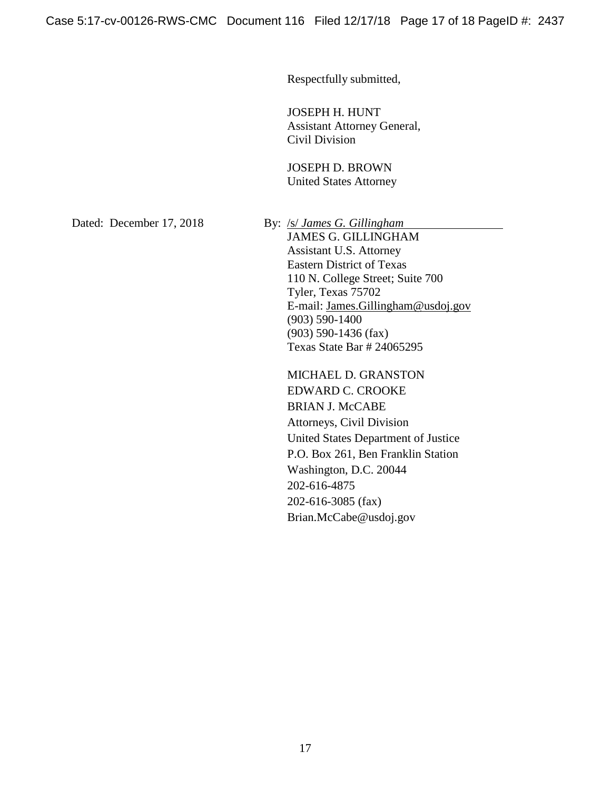Respectfully submitted,

JOSEPH H. HUNT Assistant Attorney General, Civil Division

JOSEPH D. BROWN United States Attorney

Dated: December 17, 2018 By: /s/ *James G. Gillingham* 

JAMES G. GILLINGHAM Assistant U.S. Attorney Eastern District of Texas 110 N. College Street; Suite 700 Tyler, Texas 75702 E-mail: James.Gillingham@usdoj.gov (903) 590-1400 (903) 590-1436 (fax) Texas State Bar # 24065295

MICHAEL D. GRANSTON EDWARD C. CROOKE BRIAN J. McCABE Attorneys, Civil Division United States Department of Justice P.O. Box 261, Ben Franklin Station Washington, D.C. 20044 202-616-4875 202-616-3085 (fax) Brian.McCabe@usdoj.gov